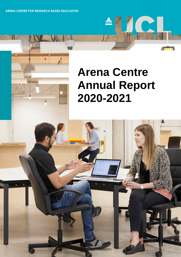**ARENA CENTRE FOR RESEARCH-BASED EDUCATION**

ň

# **Arena Centre Annual Report 2020-2021**

m

 $N$ 

C

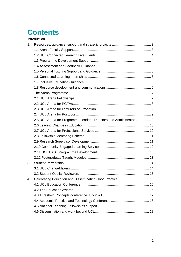# **Contents**

| 1. |                                                                     |  |
|----|---------------------------------------------------------------------|--|
|    |                                                                     |  |
|    |                                                                     |  |
|    |                                                                     |  |
|    |                                                                     |  |
|    |                                                                     |  |
|    |                                                                     |  |
|    |                                                                     |  |
|    |                                                                     |  |
| 2. |                                                                     |  |
|    |                                                                     |  |
|    |                                                                     |  |
|    |                                                                     |  |
|    |                                                                     |  |
|    | 2.5 UCL Arena for Programme Leaders, Directors and Administrators 9 |  |
|    |                                                                     |  |
|    |                                                                     |  |
|    |                                                                     |  |
|    |                                                                     |  |
|    |                                                                     |  |
|    |                                                                     |  |
|    |                                                                     |  |
| 3. |                                                                     |  |
|    |                                                                     |  |
|    |                                                                     |  |
| 4. | Celebrating Education and Disseminating Good Practice 16            |  |
|    |                                                                     |  |
|    |                                                                     |  |
|    |                                                                     |  |
|    |                                                                     |  |
|    |                                                                     |  |
|    |                                                                     |  |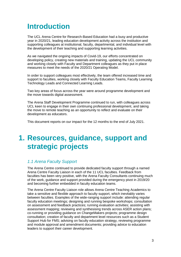# <span id="page-2-0"></span>**Introduction**

The UCL Arena Centre for Research-Based Education had a busy and productive year in 2020/21, leading education development activity across the institution and supporting colleagues at institutional, faculty, departmental, and individual level with the development of their teaching and supporting learning activities.

As we navigated the ongoing impacts of Covid-19, our efforts concentrated on developing policy, creating new materials and training, updating the UCL community and working closely with Faculty and Department colleagues as they put in place measures to meet the needs of the 2020/21 Operating Model.

In order to support colleagues most effectively, the team offered increased time and support to faculties, working closely with Faculty Education Teams, Faculty Learning Technology Leads and Connected Learning Leads.

Two key areas of focus across the year were around programme development and the move towards digital assessment.

The Arena Staff Development Programme continued to run, with colleagues across UCL keen to engage in their own continuing professional development, and taking the move to remote teaching as an opportunity to reflect and evaluate on their development as educators.

<span id="page-2-1"></span>This document reports on our impact for the 12 months to the end of July 2021.

# **1. Resources, guidance, support and strategic projects**

#### <span id="page-2-2"></span>*1.1 Arena Faculty Support*

The Arena Centre continued to provide dedicated faculty support through a named Arena Centre Faculty Liaison in each of the 11 UCL faculties. Feedback from faculties has been very positive, with the Arena Faculty Consultants continuing much of the work, guidance and support provided during the emergency pivot in 2019/20 and becoming further embedded in faculty education teams.

The Arena Centre Faculty Liaison role allows Arena Centre Teaching Academics to take a sensitive and flexible approach to faculty support, which inevitably varies between faculties. Examples of the wide-ranging support include: attending regular faculty education meetings; designing and running bespoke workshops; consultation on assessment and feedback practices; running evaluation activities; assisting with assessment mapping; reviewing and synthesising trends across ASER action plans; co-running or providing guidance on ChangeMakers projects; programme design consultation; creation of faculty and department level resources such as a Student Support Hub for FMS; advising on faculty education strategy, reviewing programme and module approval and amendment documents; providing advice to education leaders to support their career development.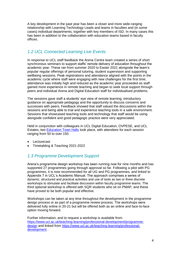A key development in the past year has been a closer and more wide-ranging relationship with Learning Technology Leads and teams in faculties and (in some cases) individual departments, together with key members of ISD. In many cases this has been in addition to the collaboration with education teams based in faculty offices.

# <span id="page-3-0"></span>*1.2 UCL Connected Learning Live Events*

In response to UCL staff feedback the Arena Centre team created a series of short synchronous seminars to support staffs' remote delivery of education throughout the academic year. These ran from summer 2020 to Easter 2021 alongside the team's popular regular offerings of personal tutoring, student supervision and supporting wellbeing sessions. Peak registrations and attendance aligned with the points in the academic cycle where staff were engaging with new challenges for the first time; attendance was initially high and reduced as the academic year proceeded as staff gained more experience in remote teaching and began to seek local support through peers and individual Arena and Digital Education staff for individualised problems.

The sessions gave staff a students' eye view of remote learning, introductory guidance on appropriate pedagogy and the opportunity to discuss concerns and successes with peers. Feedback showed that staff valued the discussions within the sessions and being able to trial and experience teaching tools in a safe environment. Sessions that showcased teaching tools and technology that staff would be using alongside confident and good pedagogic practice were very appreciated.

Held in conjunction with colleagues in UCL Digital Education, OVPESE, and UCL Estates, two [Education Town Halls](https://www.ucl.ac.uk/teaching-learning/education-planning-2020-21/online-teaching-guidance-tips-and-platforms/education-2020-21-faqs-and) took place, with attendees for each session ranging from 50 to over 150.

- Lecturecast
- Timetabling & Teaching 2021-2022

### <span id="page-3-1"></span>*1.3 Programme Development Support*

Arena's programme design workshop has been running now for nine months and has supported 27 programmes going through approval so far. Following a pilot with PG programmes, it is now recommended for all UG and PG programmes, and linked to Appendix 7 in UCL's Academic Manual. The approach comprises a series of dynamic, structured and practical activities and use of tools as two or three discrete workshops to stimulate and facilitate discussion within faculty programme teams. The third optional workshop is offered with SQR students who sit on PMAP, and these have proved to be both popular and effective.

Workshops can be taken at any time throughout the development in the programme design process or as part of a programme review process. The workshops were delivered fully online in 20-21 but will be offered both as an online and face-to-face option moving forward.

Further information, and to request a workshop is available from: [https://www.ucl.ac.uk/teaching-learning/professional-development/programme](https://www.ucl.ac.uk/teaching-learning/professional-development/programme-design)[design](https://www.ucl.ac.uk/teaching-learning/professional-development/programme-design) and linked from [https://www.ucl.ac.uk/teaching-learning/professional](https://www.ucl.ac.uk/teaching-learning/professional-development)[development](https://www.ucl.ac.uk/teaching-learning/professional-development) .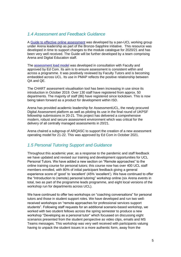#### <span id="page-4-0"></span>*1.4 Assessment and Feedback Guidance*

A [Guide to effective online assessment](https://www.ucl.ac.uk/teaching-learning/education-planning-2020-21/planning-your-assessments/designing-effective-online-assessment#Guide%20to%20effective%20online%20assessment) was developed by a pan-UCL working group under Arena leadership as part of the Bronze-Sapphire initiative. This resource was developed in time to support changes to the module catalogue for 2020/21 and has been very well received. The Guide will be further developed by a team comprising Arena and Digital Education staff.

The [assessment load model](https://www.ucl.ac.uk/teaching-learning/education-planning-2020-21/planning-your-assessments/ucl-assessment-load-model#:~:text=21%20%5B2%5D.-,The%20assessment%20load%20model,)%20%3D%2010%20hours%20of%20learning.) was developed in consultation with Faculty and approved by Ed Com. Its aim is to ensure assessment is consistent within and across a programme. It was positively reviewed by Faculty Tutors and is becoming embedded across UCL. Its use in PMAP reflects the positive relationship between QA and QE.

The CHART assessment visualisation tool has been increasing in use since its introduction in October 2019. Over 130 staff have registered from approx. 50 departments. The majority of staff (86) have registered since lockdown. This is now being taken forward as a product for development within ISD.

Arena has provided academic leadership for AssessmentUCL, the newly procured Digital Assessment platform as well as piloting its use in the final round of UKPSF fellowship submissions in 20-21. This project has delivered a comprehensive modern, robust and secure assessment environment which was critical for the delivery of all centrally managed assessments in 20/21.

Arena chaired a subgroup of ARQASC to support the creation of a new assessment operating model for 21-22. This was approved by Ed Com in October 2021.

#### <span id="page-4-1"></span>*1.5 Personal Tutoring Support and Guidance*

Throughout this academic year, as a response to the pandemic and staff feedback we have updated and revised our training and development opportunities for UCL Personal Tutors. We have added a new section on "Remote approaches" to the online training course for personal tutors; this course now has over 400 UCL staff members enrolled, with 80% of initial participant feedback giving a general experience score of 'good' to 'excellent' (45% 'excellent'). We have continued to offer the "Introduction to (remote) personal tutoring" workshop online (six Arena events in total, two as part of the programme leads programme, and eight local versions of the workshop run for departments across UCL).

We have continued to offer two workshops on "coaching conversations" for personal tutors and those in student support roles. We have developed and run two wellreceived workshops on "remote approaches for professional services support students". Following staff requests for an additional scenario-based workshop, we worked with two student fellows across the spring semester to produce a new workshop "Developing as a personal tutor" which focussed on discussing eight scenarios presented from the student perspective as video clips, emails and MS Teams messages. This workshop was very well received with participants valuing having to unpack the student issues in a more authentic form, away from the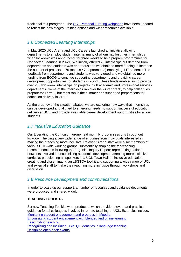traditional text paragraph. The [UCL Personal Tutoring webpages](https://www.ucl.ac.uk/teaching-learning/teaching-resources/personal-tutoring/resources-personal-tutors) have been updated to reflect the new stages, training options and wider resources available.

#### <span id="page-5-0"></span>*1.6 Connected Learning Internships*

In May 2020 UCL Arena and UCL Careers launched an initiative allowing departments to employ student interns, many of whom had lost their internships when lockdown was announced, for three weeks to help prepare programmes for Connected Learning in 20-21. We initially offered 25 internships but demand from departments and students was enormous and we obtained more funding to increase the number of projects to 76 (across 47 departments) employing 147 students. The feedback from departments and students was very good and we obtained more funding from EODG to continue supporting departments and providing career development opportunities for students in 20-21. These funds enabled us to provide over 250 two-week internships on projects in 68 academic and professional services departments. Some of the internships ran over the winter break, to help colleagues prepare for Term 2, but most ran in the summer and supported preparations for education delivery in 21-22.

As the urgency of the situation abates, we are exploring new ways that internships can be developed and aligned to emerging needs, to support successful education delivery at UCL, and provide invaluable career development opportunities for all our students.

#### <span id="page-5-1"></span>*1.7 Inclusive Education Guidance*

Our Liberating the Curriculum group held monthly drop-in sessions throughout lockdown, fielding a very wide range of enquiries from individuals interested in making their teaching more inclusive. Relevant Arena staff were also: members of various UCL-wide working groups, substantially shaping the far-reaching recommendations following the Eugenics Inquiry Report; representing national networks involved in decolonising academic development/creating more inclusive curricula; participating as speakers in a UCL Town Hall on inclusive education; creating and disseminating an LBGTQ+ toolkit and supporting a wide range of UCL and external staff to make their teaching more inclusive through workshops and discussion.

#### <span id="page-5-2"></span>*1.8 Resource development and communications*

In order to scale up our support, a number of resources and guidance documents were produced and shared widely.

#### **TEACHING TOOLKITS**

Six new Teaching Toolkits were produced, which provide relevant and practical guidance for all colleagues involved in remote teaching at UCL. Examples include: [Monitoring student engagement and progress in Moodle](https://www.ucl.ac.uk/teaching-learning/publications/2021/nov/monitoring-student-engagement-and-progress-moodle) [Encouraging student engagement with blended and online learning](https://www.ucl.ac.uk/teaching-learning/publications/2021/oct/encouraging-student-engagement-blended-and-online-learning) [Basic hybrid teaching](https://www.ucl.ac.uk/teaching-learning/publications/2021/sep/basic-hybrid-teaching) [Recognising and including LGBTQ+ identities](https://www.ucl.ac.uk/teaching-learning/publications/2021/jun/recognising-and-including-lgbtq-identities-language-teaching) in language teaching [Designing open book exams](https://www.ucl.ac.uk/teaching-learning/publications/2021/feb/designing-open-book-exams)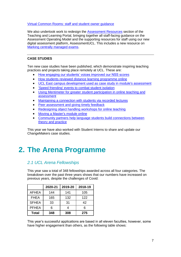#### [Virtual Common Rooms: staff and student owner guidance](https://www.ucl.ac.uk/teaching-learning/publications/2021/aug/virtual-common-rooms-staff-and-student-owner-guidance)

We also undertook work to redesign the [Assessment Resources](https://www.ucl.ac.uk/teaching-learning/assessment-resources) section of the Teaching and Learning Portal, bringing together all staff-facing guidance on the Assessment Operating Model and the supporting resources for staff using our new digital assessment platform, AssessmentUCL. This includes a new resource on [Marking centrally managed exams.](https://www.ucl.ac.uk/teaching-learning/assessment-resources/assessmentucl-platform-and-project/marking-centrally-managed-assessments)

#### **CASE STUDIES**

Ten new case studies have been published, which demonstrate inspiring teaching practices and projects taking place remotely at UCL. These are:

- [How engaging our students' voices improved our NSS scores](https://www.ucl.ac.uk/teaching-learning/case-studies/2021/jan/how-engaging-our-students-voices-improved-our-nss-scores)
- [How students reviewed distance learning programme online](https://www.ucl.ac.uk/teaching-learning/case-studies/2021/jan/how-students-reviewed-distance-learning-programme-online)
- [UCL East campus development used as case study in module's assessment](https://www.ucl.ac.uk/teaching-learning/case-studies/2021/feb/ucl-east-campus-development-used-case-study-modules-assessment)
- ['Speed friending' events to combat student isolation](https://www.ucl.ac.uk/teaching-learning/case-studies/2021/jun/speed-friending-events-combat-student-isolation)
- [Using Mentimeter for greater student participation in online teaching and](https://www.ucl.ac.uk/teaching-learning/case-studies/2021/jul/using-mentimeter-greater-student-participation-online-teaching-and-assessment)  [assessment](https://www.ucl.ac.uk/teaching-learning/case-studies/2021/jul/using-mentimeter-greater-student-participation-online-teaching-and-assessment)
- [Maintaining a connection with students via recorded](https://www.ucl.ac.uk/teaching-learning/case-studies/2021/jul/maintaining-connection-students-recorded-lectures) lectures
- [Peer assessment and giving timely feedback](https://www.ucl.ac.uk/teaching-learning/case-studies/2021/jul/peer-assessment-and-giving-timely-feedback)
- [Redesigning object handling workshops for online teaching](https://www.ucl.ac.uk/teaching-learning/case-studies/2021/jul/redesigning-object-handling-workshops-online-teaching)
- Moving a Master's module online
- [Community partners help language students build connections between](https://www.ucl.ac.uk/teaching-learning/case-studies/2021/aug/community-partners-help-language-students-build-connections-between-theory-and)  [theory and practice](https://www.ucl.ac.uk/teaching-learning/case-studies/2021/aug/community-partners-help-language-students-build-connections-between-theory-and)

This year we have also worked with Student Interns to share and update our [ChangeMakers case studies.](https://www.ucl.ac.uk/changemakers/case-studies)

# <span id="page-6-0"></span>**2. The Arena Programme**

### <span id="page-6-1"></span>*2.1 UCL Arena Fellowships*

This year saw a total of 348 fellowships awarded across all four categories. The breakdown over the past three years shows that our numbers have increased on previous years, despite the challenges of Covid:

|              | 2020-21 | 2019-20 | 2018-19 |
|--------------|---------|---------|---------|
| <b>AFHEA</b> | 144     | 141     | 105     |
| <b>FHEA</b>  | 165     | 132     | 122     |
| <b>SFHEA</b> | 33      | 31      | 42      |
| <b>PFHEA</b> | ิค      | 4       | 6       |
| <b>Total</b> | 348     | 308     | 275     |

This year's successful applications are based in all eleven faculties, however, some have higher engagement than others, as the following table shows: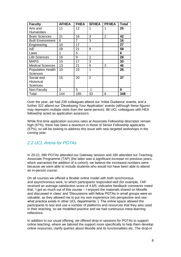| <b>Faculty</b>           | <b>AFHEA</b> | <b>FHEA</b> | <b>SFHEA</b>   | <b>PFHEA</b>   | <b>Total</b> |
|--------------------------|--------------|-------------|----------------|----------------|--------------|
| Arts and                 | 11           | 12          | 1              | 1              | 25           |
| <b>Humanities</b>        |              |             |                |                |              |
| <b>Brain Sciences</b>    | 21           | 16          | 3              | $\overline{2}$ | 42           |
| <b>Built Environment</b> | 6            | 7           | 3              |                | 16           |
| Engineering              | 10           | 17          |                |                | 27           |
| IoE                      | 28           | 21          | 9              |                | 58           |
| Laws                     | 1            | 5           |                |                | 6            |
| <b>Life Sciences</b>     | 16           | 9           | 1              |                | 26           |
| <b>MAPS</b>              | 10           | 17          | 3              |                | 30           |
| <b>Medical Sciences</b>  | 13           | 21          | 9              | 3              | 46           |
| <b>Population Health</b> | 10           | 15          | 1              |                | 26           |
| <b>Sciences</b>          |              |             |                |                |              |
| Social and               | 15           | 20          | $\overline{2}$ |                | 37           |
| <b>Historical</b>        |              |             |                |                |              |
| <b>Sciences</b>          |              |             |                |                |              |
| Non-Faculty              | 3            | 5.          | 1              |                | 9            |
| Total                    | 144          | 165         | 33             | 6              | 348          |

Over the year, we had 239 colleagues attend our 'Initial Guidance' events, and a further 322 attend our 'Developing Your Application' events (although these figures may represent multiple visits from the same person). 86 UCL colleagues with HEA fellowship acted as application assessors.

While first-time application success rates at Associate Fellowship descriptor remain high (97%), there has been a downturn in those of Senior Fellowship applicants (57%), so will be looking to address this issue with new targeted workshops in the coming year.

# <span id="page-7-0"></span>*2.2 UCL Arena for PGTAs*

In 20-21, 690 PGTAs attended our Gateway session and 180 attended our Teaching Associate Programme (TAP) (the latter was a significant increase on previous years, which warranted the addition of a cohort); we believe the increased numbers were because we were able to include students who would not have been able to attend an in-person course.

On all courses we offered a flexible online model with both synchronous and asynchronous work, to which participants responded well (for example, TAP received an average satisfaction score of 4.6/5; indicative feedback comments noted that, 'I got so much out of this course – I enjoyed the materials shared on Moodle and discussed in class' and 'Discussions with fellow PGTAs in small groups were so valuable, as they allowed me to put my own experience into perspective and see what practice exists in other UCL departments.'). The online space allowed the participants to test and use a number of platforms and resources that they also used in their teaching, so we modelled practice and we had continuous meta-learning reflections.

In addition to our usual offering, we offered drop-in sessions for PGTAs to support online teaching, where we tailored the support more specifically to help them develop online resources, clarify queries about Moodle and its functionalities etc. The drop-in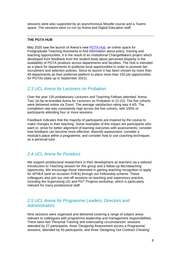sessions were also supported by an asynchronous Moodle course and a Teams space. The sessions were co-run by Arena and Digital Education staff.

#### **THE PGTA HUB**

May 2020 saw the launch of Arena's new [PGTA Hub,](https://www.ucl.ac.uk/pg-teaching-opportunities-hub/) an online space for Postgraduate Teaching Assistants to find information about policy, training and teaching opportunities. It is the result of an institutional ChangeMakers project which developed from feedback from the student body about perceived disparity in the availability of PGTA positions across departments and faculties. The Hub is intended as a place for departments to publicise local opportunities in order to promote fair recruitment and selection policies. Since its launch it has been chosen by more than 40 departments as their preferred platform to place more than 150 job opportunities for PGTAs (data up to September 2021)

#### <span id="page-8-0"></span>*2.3 UCL Arena for Lecturers on Probation*

Over the year 130 probationary Lecturers and Teaching Fellows attended 'Arena Two' (to be re-branded Arena for Lecturers on Probation in 21-22); The five cohorts were delivered online via Zoom. The average satisfaction rating was 4.4/5. The completion rate was consistently high across the five cohorts, with 100% of participants attending four or more sessions.

Feedback indicates that the majority of participants are inspired by the course to make changes to their teaching. Some examples of this impact are participants who want to: strive for better alignment of learning outcomes with assessments; consider how feedback can become more effective; diversify assessment; consider a module's place within a programme; and consider how to use coaching techniques as a personal tutor.

# <span id="page-8-1"></span>*2.4 UCL Arena for Postdocs*

We support postdoctoral researchers in their development as teachers via a tailored Introduction to Teaching session for this group and a follow-up Microteaching opportunity. We encourage those interested in gaining teaching recognition to apply for AFHEA (and on occasion FHEA) through our Fellowship scheme. These colleagues also join our one-off sessions on teaching and supervisory practice, including the Supervising UG and PGT Projects workshop, which is particularly relevant for many postdoctoral staff.

### <span id="page-8-2"></span>*2.5 UCL Arena for Programme Leaders, Directors and Administrators*

Nine sessions were organised and delivered covering a range of subject areas relevant to colleagues with programme leadership and management responsibilities. There were two 'Personal Tutoring and extenuating circumstances' sessions attended by 27 participants, three 'Designing Assessment across a Programme' sessions, attended by 93 participants, and three 'Designing Out Contract Cheating'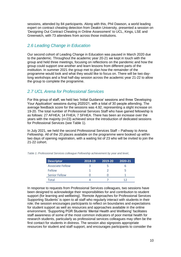sessions, attended by 84 participants. Along with this, Phil Dawson, a world leading expert on contract cheating detection from Deakin University, presented a session on 'Designing Out Contract Cheating in Online Assessment' to UCL, Kings, LSE and Greenwich, with 73 attendees from across those institutions.

# <span id="page-9-0"></span>*2.6 Leading Change in Education*

Our second cohort of Leading Change in Education was paused in March 2020 due to the pandemic. Throughout the academic year 20-21 we kept in touch with the group and held three meetings, focusing on reflections on the pandemic and how the group could support one another and learn lessons from different parts of the institution. In summer 2021 the group met to plan how the remainder of the programme would look and what they would like to focus on. There will be two daylong workshops and a final half-day session across the academic year 21-22 to allow the group to complete the programme.

### <span id="page-9-1"></span>*2.7 UCL Arena for Professional Services*

For this group of staff, we held two 'Initial Guidance' sessions and three 'Developing Your Application' sessions during 2020/21, with a total of 30 people attending. The average feedback score for the sessions was 4.92, representing a slight increase on 19-20. The total number of Professional Services Staff who have gained fellowship is as follows: 27 AFHEA; 14 FHEA; 7 SFHEA. There has been an increase over the years with the majority (n=23) achieved since the introduction of dedicated sessions for Professional Services (see Table 1).

In July 2021, we held the second Professional Services Staff – Pathway to Arena Fellowship. All of the 20 places available on the programme were booked up within two days of opening registration, with a waiting list of 23 who will be invited to join the 21-22 cohort.

| <b>Descriptor</b>       | 2018-19 | 2019-20 | 2020-21 |
|-------------------------|---------|---------|---------|
| <b>Associate Fellow</b> |         |         |         |
| Fellow                  |         |         |         |
| <b>Senior Fellow</b>    |         |         |         |
| Total                   |         |         |         |

*Table 1: Professional Services colleague Fellowship achievement by year and level,*

In response to requests from Professional Services colleagues, two sessions have been designed to acknowledge their responsibilities for and contribution to student support (for learning and wellbeing). 'Remote Approaches for Professional Services Supporting Students' is open to all staff who regularly interact with students in their role; the session encourages participants to reflect on boundaries and expectations for student support as well as resources and approaches available in the online environment. 'Supporting PGR Students' Mental Health and Wellbeing' facilitates staff awareness of some of the most common indicators of poor mental health for research students, particularly as professional services colleagues may often be the first contact for students in distress. The session also signposts appropriate resources for student and staff support, and encourages participants to consider the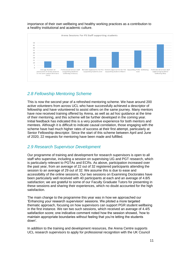importance of their own wellbeing and healthy working practices as a contribution to a healthy institutional and academic culture.



# <span id="page-10-0"></span>*2.8 Fellowship Mentoring Scheme*

This is now the second year of a refreshed mentoring scheme. We have around 200 active volunteers from across UCL who have successfully achieved a descriptor of fellowship and have volunteered to assist others on the same journey. Many mentors have now received training offered by Arena, as well as *ad hoc* guidance at the time of their mentoring, and this scheme will be further developed in the coming year. Initial feedback has indicated this is a very positive experience for both mentors and mentees. Although it is difficult to indicate causal correlation, those engaging with the scheme have had much higher rates of success at their first attempt, particularly at Senior Fellowship descriptor. Since the start of this scheme between April and June of 2020, 22 requests for mentoring have been made and fulfilled.

#### <span id="page-10-1"></span>*2.9 Research Supervisor Development*

Our programme of training and development for research supervisors is open to all staff who supervise, including a session on supervising UG and PGT research, which is particularly relevant to PGTAs and ECRs. As above, participation increased over the past year, from an average of 22 out of 32 registered participants attending the session to an average of 29 out of 32. We assume this is due to ease and accessibility of the online sessions. Our two sessions on Examining Doctorates have been particularly well received with 40 participants at each and an average of 4.8/5 satisfaction; we are grateful to some of our Faculty Graduate Tutors for presenting in these sessions and sharing their experiences, which no doubt accounted for the high satisfaction.

The main change to the programme this year was in how we approached our 'Enhancing your research supervision' sessions. We piloted a more targeted thematic approach, focusing on how supervisors can support PGR student wellbeing in the first instance. We ran two such sessions, which received an average of 4.4/5 satisfaction score; one indicative comment noted how the session showed, 'how to maintain appropriate boundaries without feeling that you're letting the students down'.

In addition to the training and development resources, the Arena Centre supports UCL research supervisors to apply for professional recognition with the UK Council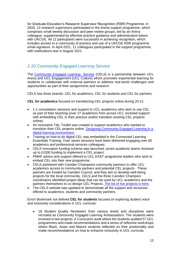for Graduate Education's Research Supervisor Recognition (RSR) Programme. In 2020, 12 research supervisors participated in the Arena support programme, which comprises small weekly discussion and peer review groups, led by an Arena colleague, supplemented by effective practice guidance and administrative liaison with UKCGE. All 12 participants were successful in achieving recognition, which includes access to a community of practice and use of a UKCGE RSR programme email signature. In April 2021, 11 colleagues participated in the support programme, with notifications due in August 2021.

# <span id="page-11-0"></span>*2.10 Community Engaged Learning Service*

The [Community Engaged Learning Service](https://www.ucl.ac.uk/teaching-learning/teaching-resources/community-engaged-learning-cel) (CELS) is a partnership between UCL Arena and UCL Engagement (UCL Culture) which promotes experiential learning for students to collaborate with external partners to address real-world challenges and opportunities as part of their assignments and research

CELS has three strands: CEL for academics, CEL for students and CEL for partners.

**CEL for academics** focused on transitioning CEL projects online during 20-21:

- 1:1 consultation sessions and support to UCL academics who wish to use CEL as part of their teaching (over 27 academics from across UCL received support with embedding CEL in their practice and/or transition existing CEL projects online).
- An innovative T&L Toolkit was created to support academics who wanted to transition their CEL projects online: [Designing Community Engaged Learning in a](https://www.ucl.ac.uk/teaching-learning/publications/2020/jun/designing-community-engaged-learning-cel-digital-learning-environment)  [digital learning environment.](https://www.ucl.ac.uk/teaching-learning/publications/2020/jun/designing-community-engaged-learning-cel-digital-learning-environment)
- Training on how to do digital CEL was embedded in the Connected Learning Essentials Training. Over seven sessions have been delivered engaging over 60 academics and professional services colleagues.
- CELS Innovation funding scheme was launched; seven academic teams received up to £1000 funding to implement a CEL project.
- PMAP advice and support offered to UCL EAST programme leaders who wish to embed CEL into their new programme.
- CELS partnered with Camden Champions community partners to offer UCL academics access to community partners and potential CEL projects - These partners are funded by Camden Council, and they aim to develop well-being projects for the local community. CELS and the three Camden Champion coordinators identified project ideas that can be used by UCL academics and the partners themselves to co-design CEL Projects. [The list of live projects is here.](https://www.ucl.ac.uk/teaching-learning/teaching-resources/community-engaged-learning/cel-ucl-staff#Liveprojects)
- The CELS website was updated to demonstrate all the support and recourses offered to academics, students and community partners.

Error! Bookmark not defined.**CEL for students** focused on exploring student voice and inclusivity considerations in UCL curricula:

 18 Student Quality Reviewers from various levels and disciplines were recruited as Community Engaged Learning Ambassadors. The students were involved in two projects: A Curriculum audit where the students audited 57 UCL programmes and made recommendations and a series of reflective workshops where Black, Asian and Mature students reflected on their positionality and made recommendations on how to enhance inclusivity in UCL curricula.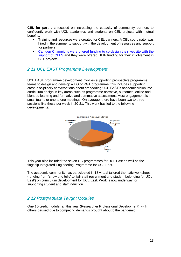**CEL for partners** focused on increasing the capacity of community partners to confidently work with UCL academics and students on CEL projects with mutual benefits.

- Training and resources were created for CEL partners. A CEL coordinator was hired in the summer to support with the development of resources and support for partners.
- [Camden Champions were offered funding to co-design their website with the](https://www.communitychampionscamden.co.uk/)  [support of CELS](https://www.communitychampionscamden.co.uk/) and they were offered HEIF funding for their involvement in CEL projects.

#### <span id="page-12-0"></span>*2.11 UCL EAST Programme Development*

UCL EAST programme development involves supporting prospective programme teams to design and develop a UG or PGT programme, this includes supporting cross-disciplinary conversations about embedding UCL EAST's academic vision into curriculum design in key areas such as programme narrative, outcomes, online and blended learning and formative and summative assessment. Most engagement is in small teams or one to one meetings. On average, there have been two to three sessions like these per week in 20-21. This work has led to the following developments:



This year also included the seven UG programmes for UCL East as well as the flagship Integrated Engineering Programme for UCL East.

The academic community has participated in 18 virtual tailored thematic workshops (ranging from 'show and tells' to 'fair staff recruitment and student belonging for UCL East') on curriculum development for UCL East. Work is now underway for supporting student and staff induction.

### <span id="page-12-1"></span>*2.12 Postgraduate Taught Modules*

One 15-credit module ran this year (Researcher Professional Development), with others paused due to competing demands brought about b the pandemic.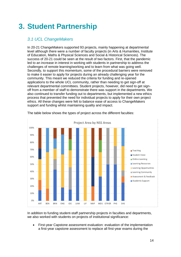# <span id="page-13-0"></span>**3. Student Partnership**

# <span id="page-13-1"></span>*3.1 UCL ChangeMakers*

In 20-21 ChangeMakers supported 93 projects, mainly happening at departmental level although there were a number of faculty projects (in Arts & Humanities, Institute of Education, Maths & Physical Sciences and Social & Historical Sciences). The success of 20-21 could be seen at the result of two factors. First, that the pandemic led to an increase in interest in working with students in partnership to address the challenges of remote learning/working and to learn from what was going well. Secondly, to support this momentum, some of the procedural barriers were removed to make it easier to apply for projects during an already challenging year for the community. This meant we reduced the criteria for funding and re-opened applications to the whole UCL community, rather than needing to get sign-off at relevant departmental committees. Student projects, however, did need to get signoff from a member of staff to demonstrate there was support in the departments. We also continued to transfer funding out to departments, but implemented a new ethics process that prevented the need for individual projects to apply for their own project ethics. All these changes were felt to balance ease of access to ChangeMakers support and funding whilst maintaining quality and impact.



The table below shows the types of project across the different faculties:

In addition to funding student-staff partnership projects in faculties and departments, we also worked with students on projects of institutional significance:

 First-year Capstone assessment evaluation: evaluation of the implementation a first-year capstone assessment to replace all first-year exams during the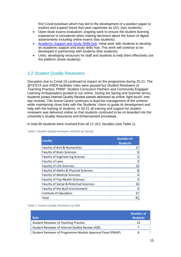first Covid lockdown which has led to the development of a position paper to explore and support future first-year capstones as UCL (two students).

- Open-book exams evaluation: ongoing work to ensure the student learning experience is considered when making decisions about the future of digital assessments including online exams (two students).
- [Academic Support and Study Skills hub:](https://www.ucl.ac.uk/students/academic-support) initial work with students to develop an academic support and study skills hub. This work will continue to be developed in partnership with students (five students).
- Unitu: developing resources for staff and students to help them effectively use the platform (three students).

# <span id="page-14-0"></span>*3.2 Student Quality Reviewers*

Disruption due to Covid-19 continued to impact on the programme during 20-21. The @TESTA and ASER facilitator roles were paused but Student Reviewers of Teaching Practice, PMAP, Student Curriculum Partners and Community Engaged Learning Ambassadors pivoted to run online. During the Spring and Summer terms, students joined Internal Quality Review panels delivered as online 'light-touch' oneday reviews. The Arena Centre continues to lead the management of the scheme while maintaining close links with the Students' Union to guide its development and help with the training of students. In 20-21 all training and support for student reviewers was delivered online so that students continued to be on-boarded into the university's Quality Assurance and Enhancement processes.

In total 80 students were involved from all 11 UCL faculties (see Table 1).

| <b>Faculty</b>                          | <b>Number of</b><br><b>Students</b> |
|-----------------------------------------|-------------------------------------|
| Faculty of Arts & Humanities            | 11                                  |
| Faculty of Brain Sciences               | 6                                   |
| Faculty of Engineering Science          | 4                                   |
| Faculty of Laws                         | 2                                   |
| Faculty of Life Sciences                | 13                                  |
| Faculty of Maths & Physical Sciences    | 8                                   |
| Faculty of Medical Sciences             | 4                                   |
| Faculty of Pop Health Sciences          | 3                                   |
| Faculty of Social & Historical Sciences | 16                                  |
| Faculty of the Built Environment        | 3                                   |
| Institute of Education                  | 17                                  |
| Total                                   | 87                                  |

*Table 1 Student Quality Reviewers 2019/20 by Faculty*

| <b>Role</b>                                                | Number of<br><b>Students</b> |
|------------------------------------------------------------|------------------------------|
| <b>Student Reviewer of Teaching Practice</b>               | 32                           |
| Student Reviewer of Internal Quality Review (IQR)          |                              |
| Student Reviewer of Programme Module Approval Panel (PMAP) | 8                            |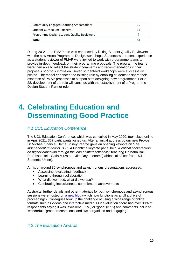| <b>Community Engaged Learning Ambassadors</b> | 1 Q |
|-----------------------------------------------|-----|
| <b>Student Curriculum Partners</b>            | 14  |
| Programme Design Student Quality Reviewers    |     |
| Total                                         |     |

During 20-21, the PMAP role was enhanced by linking Student Quality Reviewers with the new Arena Programme Design workshops. Students with recent experience as a student reviewer of PMAP were invited to work with programme teams to provide in-depth feedback on their programme proposals. The programme teams were then able to reflect the student comments and recommendations in their proposals prior to submission. Seven student-led workshops were successfully piloted. The model enhanced the existing role by enabling students to share their expertise of PMAP processes to support staff designing new programmes. For 21- 22, development of the role will continue with the establishment of a Programme Design Student Partner role.

# <span id="page-15-0"></span>**4. Celebrating Education and Disseminating Good Practice**

# <span id="page-15-1"></span>*4.1 UCL Education Conference*

The UCL Education Conference, which was cancelled in May 2020, took place online in April 2021. 367 participants joined us. After an initial address by our new Provost Dr Michael Spence, Dame Shirley Pearce gave an opening keynote on '*The independent review of TEF*'. A lunchtime keynote panel held '*A critical conversation on higher education through the lens of intersectionality*' featuring Dr Maha Bali, Professor Heidi Safia Mirza and Jim Onyemenam (sabbatical officer from UCL Students' Union).

A mix of around 80 synchronous and asynchronous presentations addressed:

- Assessing, evaluating, feedback
- Learning through collaboration
- What did we need, what did we use?
- Celebrating inclusiveness, commitment, achievements

Abstracts, further details and other materials for both synchronous and asynchronous sessions were hosted on a [new blog](https://reflect.ucl.ac.uk/education-conference-2021/) (which now functions as a full archive of proceedings). Colleagues took up the challenge of using a wide range of online formats such as videos and interactive media. Our evaluation score had over 90% of respondents saying it was 'excellent' (55%) or 'good' (37%) and comments included 'wonderful', 'great presentations' and 'well-organised and engaging'.

### <span id="page-15-2"></span>*4.2 The Education Awards*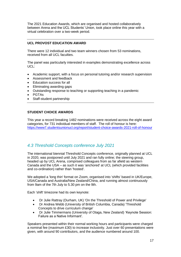The 2021 Education Awards, which are organised and hosted collaboratively between Arena and the UCL Students' Union, took place online this year with a virtual celebration over a two-week period.

#### **UCL PROVOST EDUCATION AWARD**

There were 12 individual and two team winners chosen from 53 nominations, received from all UCL faculties.

The panel was particularly interested in examples demonstrating excellence across UCL:

- Academic support, with a focus on personal tutoring and/or research supervision
- Assessment and feedback
- Education success for all
- Eliminating awarding gaps
- Outstanding response to teaching or supporting teaching in a pandemic
- PGTAs
- Staff-student partnership

#### **STUDENT CHOICE AWARDS**

This year a record breaking 1482 nominations were received across the eight award categories, for 731 individual members of staff. The roll of honour is here: <https://www7.studentsunionucl.org/report/student-choice-awards-2021-roll-of-honour>

#### <span id="page-16-0"></span>*4.3 Threshold Concepts conference July 2021*

The international biennial Threshold Concepts conference, originally planned at UCL in 2020, was postponed until July 2021 and ran fully online; the steering group, headed up by UCL Arena, comprised colleagues from as far afield as western Canada and the USA – as such it was 'anchored' at UCL (which provided facilities and co-ordination) rather than 'hosted'.

We adopted a 'long thin' format on Zoom, organised into 'shifts' based in UK/Europe, USA/Canada and Australia/New Zealand/China, and running almost continuously from 9am of the 7th July to 5.30 pm on the 9th.

Each 'shift' timezone had its own keynote:

- Dr Julie Rattray (Durham, UK) 'On the Threshold of Power and Privilege'
- Dr Andrea Webb (University of British Columbia, Canada) 'Threshold Concepts to drive curriculum change'
- Dr Julie Timmermans (University of Otaga, New Zealand) 'Keynote Session: Failure as a Native Informant'.

Speakers presented within their normal working hours and participants were charged a nominal fee (maximum £30) to increase inclusivity. Just over 60 presentations were given, with around 90 contributors, and the audience numbered around 100.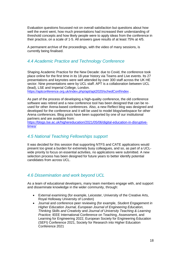Evaluation questions focussed not on overall satisfaction but questions about how well the event went, how much presentations had increased their understanding of threshold concepts and how likely people were to apply ideas from the conference in their practice, on a scale of 1-5. All answers gave results of at least 75% at 4/5.

A permanent archive of the proceedings, with the video of many sessions, is currently being finalised.

#### <span id="page-17-0"></span>*4.4 Academic Practice and Technology Conference*

Shaping Academic Practice for the New Decade: due to Covid, the conference took place online for the first time in its 18-year history via Teams and Live events. Its 27 presentations and keynotes were well attended by over 300 staff across the UK HE sector. Nine presentations were by UCL staff. APT is a collaboration between UCL (lead), LSE and Imperial College, London.

<https://aptconference.org.uk/index.php/apt/apt2020/schedConf/index> .

As part of the process of developing a high-quality conference, the old conference software was retired and a new conference tool has been designed that can be reused for other Arena-based conferences. Also, a new Reflect blog was designed and developed for the conference and it will be used to model blogs/webspace for other Arena conferences. Blog posts have been supported by one of our institutional partners and are available from:

[https://blogs.lse.ac.uk/highereducation/2021/05/06/digital-education-in-disruptive](https://blogs.lse.ac.uk/highereducation/2021/05/06/digital-education-in-disruptive-times/)[times/](https://blogs.lse.ac.uk/highereducation/2021/05/06/digital-education-in-disruptive-times/)

#### <span id="page-17-1"></span>*4.5 National Teaching Fellowships support*

It was decided for this session that supporting NTFS and CATE applications would present too great a burden for extremely busy colleagues, and so, as part of a UCLwide priority to focus on essential activities, no applications were submitted. A new selection process has been designed for future years to better identify potential candidates from across UCL.

#### <span id="page-17-2"></span>*4.6 Dissemination and work beyond UCL*

As a team of educational developers, many team members engage with, and support and disseminate knowledge in the wider community, through:

- External examining (for example, Leicester, University of the Creative Arts, Royal Holloway University of London)
- Journal and conference peer reviewing (for example, *Student Engagement in Higher Education Journal, European Journal of Engineering Education, Thinking Skills and Creativity* and *Journal of University Teaching & Learning Practice;* IEEE International Conference on Teaching, Assessment, and Learning for Engineering 2022, European Society for Engineering Education (SEFI) Conference 2021, Society for Research into Higher Education Conference 2021